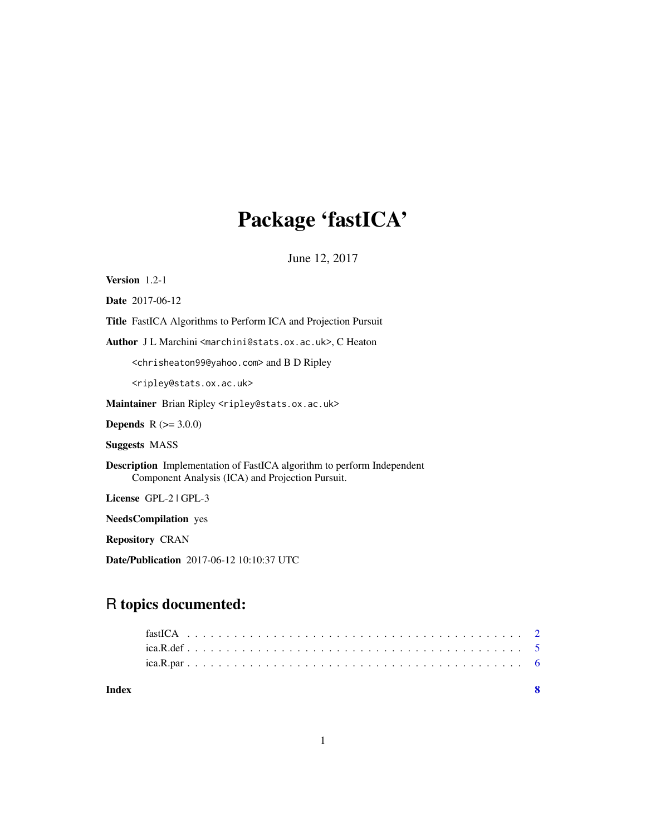## Package 'fastICA'

June 12, 2017

Version 1.2-1 Date 2017-06-12 Title FastICA Algorithms to Perform ICA and Projection Pursuit Author J L Marchini <marchini@stats.ox.ac.uk>, C Heaton <chrisheaton99@yahoo.com> and B D Ripley <ripley@stats.ox.ac.uk> Maintainer Brian Ripley <ripley@stats.ox.ac.uk> **Depends**  $R (= 3.0.0)$ Suggests MASS Description Implementation of FastICA algorithm to perform Independent Component Analysis (ICA) and Projection Pursuit. License GPL-2 | GPL-3 NeedsCompilation yes Repository CRAN Date/Publication 2017-06-12 10:10:37 UTC

### R topics documented:

1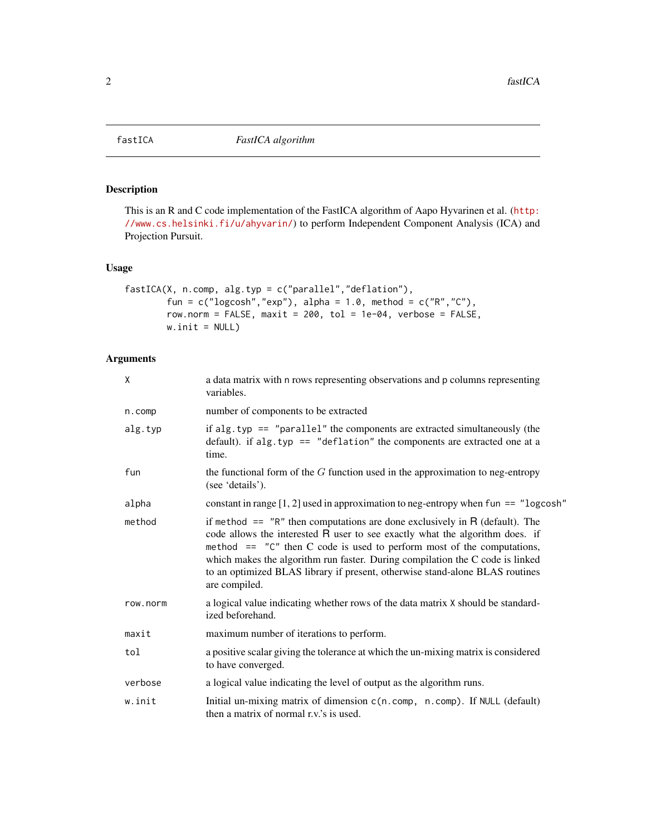<span id="page-1-1"></span><span id="page-1-0"></span>

#### Description

This is an R and C code implementation of the FastICA algorithm of Aapo Hyvarinen et al. ([http:](http://www.cs.helsinki.fi/u/ahyvarin/) [//www.cs.helsinki.fi/u/ahyvarin/](http://www.cs.helsinki.fi/u/ahyvarin/)) to perform Independent Component Analysis (ICA) and Projection Pursuit.

#### Usage

```
fastICA(X, n.comp, alg.typ = c("parallel","deflation"),
        fun = c("logcosh", "exp"), alpha = 1.0, method = c("R", "C"),
        row.norm = FALSE, maxit = 200, tol = 1e-04, verbose = FALSE,
        w.init = NULL)
```
#### Arguments

| χ        | a data matrix with n rows representing observations and p columns representing<br>variables.                                                                                                                                                                                                                                                                                                                                    |
|----------|---------------------------------------------------------------------------------------------------------------------------------------------------------------------------------------------------------------------------------------------------------------------------------------------------------------------------------------------------------------------------------------------------------------------------------|
| n.comp   | number of components to be extracted                                                                                                                                                                                                                                                                                                                                                                                            |
| alg.typ  | if alg.typ $==$ "parallel" the components are extracted simultaneously (the<br>default). if alg.typ == "deflation" the components are extracted one at a<br>time.                                                                                                                                                                                                                                                               |
| fun      | the functional form of the $G$ function used in the approximation to neg-entropy<br>(see 'details').                                                                                                                                                                                                                                                                                                                            |
| alpha    | constant in range $[1, 2]$ used in approximation to neg-entropy when fun == "logcosh"                                                                                                                                                                                                                                                                                                                                           |
| method   | if method $==$ "R" then computations are done exclusively in R (default). The<br>code allows the interested R user to see exactly what the algorithm does. if<br>method $==$ " $C$ " then C code is used to perform most of the computations,<br>which makes the algorithm run faster. During compilation the C code is linked<br>to an optimized BLAS library if present, otherwise stand-alone BLAS routines<br>are compiled. |
| row.norm | a logical value indicating whether rows of the data matrix X should be standard-<br>ized beforehand.                                                                                                                                                                                                                                                                                                                            |
| maxit    | maximum number of iterations to perform.                                                                                                                                                                                                                                                                                                                                                                                        |
| tol      | a positive scalar giving the tolerance at which the un-mixing matrix is considered<br>to have converged.                                                                                                                                                                                                                                                                                                                        |
| verbose  | a logical value indicating the level of output as the algorithm runs.                                                                                                                                                                                                                                                                                                                                                           |
| w.init   | Initial un-mixing matrix of dimension c(n.comp, n.comp). If NULL (default)<br>then a matrix of normal r.v.'s is used.                                                                                                                                                                                                                                                                                                           |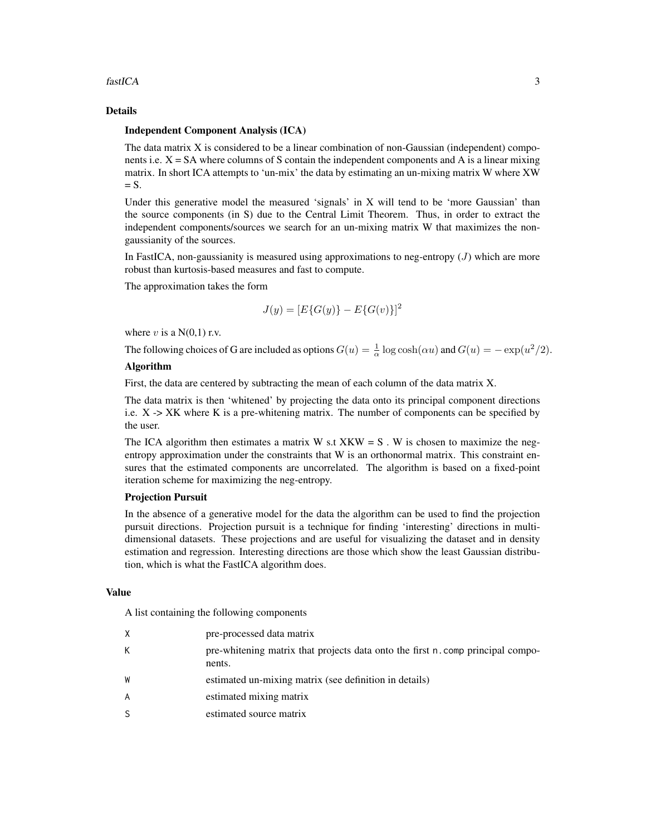#### fastICA 3

#### Details

#### Independent Component Analysis (ICA)

The data matrix X is considered to be a linear combination of non-Gaussian (independent) components i.e.  $X = SA$  where columns of S contain the independent components and A is a linear mixing matrix. In short ICA attempts to 'un-mix' the data by estimating an un-mixing matrix W where XW  $= S$ .

Under this generative model the measured 'signals' in X will tend to be 'more Gaussian' than the source components (in S) due to the Central Limit Theorem. Thus, in order to extract the independent components/sources we search for an un-mixing matrix W that maximizes the nongaussianity of the sources.

In FastICA, non-gaussianity is measured using approximations to neg-entropy  $(J)$  which are more robust than kurtosis-based measures and fast to compute.

The approximation takes the form

$$
J(y) = [E\{G(y)\} - E\{G(v)\}]^2
$$

where v is a  $N(0,1)$  r.v.

The following choices of G are included as options  $G(u) = \frac{1}{\alpha} \log \cosh(\alpha u)$  and  $G(u) = -\exp(u^2/2)$ .

#### Algorithm

First, the data are centered by subtracting the mean of each column of the data matrix X.

The data matrix is then 'whitened' by projecting the data onto its principal component directions i.e. X -> XK where K is a pre-whitening matrix. The number of components can be specified by the user.

The ICA algorithm then estimates a matrix W s.t  $XKW = S$ . W is chosen to maximize the negentropy approximation under the constraints that W is an orthonormal matrix. This constraint ensures that the estimated components are uncorrelated. The algorithm is based on a fixed-point iteration scheme for maximizing the neg-entropy.

#### Projection Pursuit

In the absence of a generative model for the data the algorithm can be used to find the projection pursuit directions. Projection pursuit is a technique for finding 'interesting' directions in multidimensional datasets. These projections and are useful for visualizing the dataset and in density estimation and regression. Interesting directions are those which show the least Gaussian distribution, which is what the FastICA algorithm does.

#### Value

A list containing the following components

| X | pre-processed data matrix                                                                 |
|---|-------------------------------------------------------------------------------------------|
| K | pre-whitening matrix that projects data onto the first n. comp principal compo-<br>nents. |
| W | estimated un-mixing matrix (see definition in details)                                    |
| A | estimated mixing matrix                                                                   |
| S | estimated source matrix                                                                   |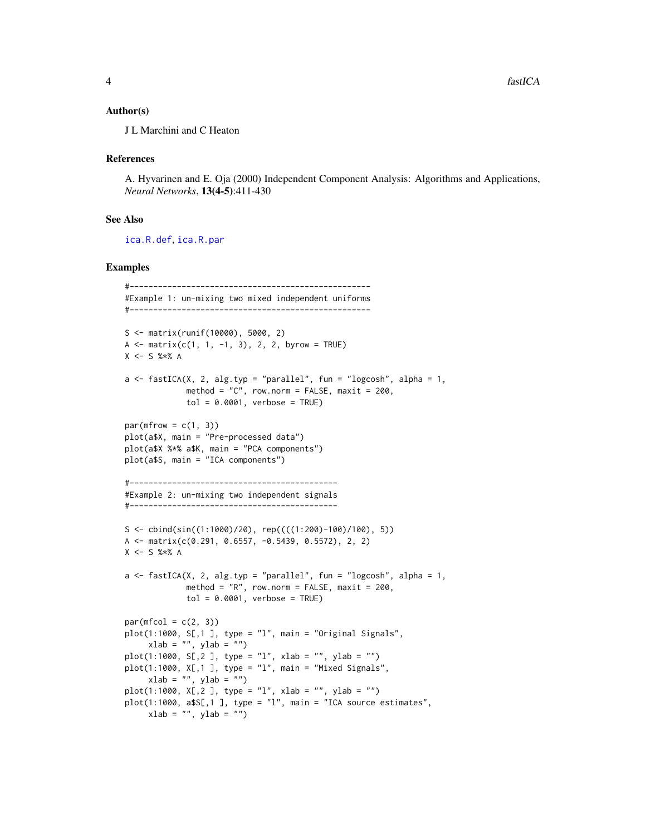#### <span id="page-3-0"></span>Author(s)

J L Marchini and C Heaton

#### References

A. Hyvarinen and E. Oja (2000) Independent Component Analysis: Algorithms and Applications, *Neural Networks*, 13(4-5):411-430

#### See Also

[ica.R.def](#page-4-1), [ica.R.par](#page-5-1)

#### Examples

```
#---------------------------------------------------
#Example 1: un-mixing two mixed independent uniforms
#---------------------------------------------------
S <- matrix(runif(10000), 5000, 2)
A \le matrix(c(1, 1, -1, 3), 2, 2, byrow = TRUE)
X <- S %*% A
a \leftarrow fastICA(X, 2, alg.typ = "parallel", fun = "logcosh", alpha = 1,
             method = "C", row.norm = FALSE, maxit = 200,tol = 0.0001, verbose = TRUE)
par(mfrow = c(1, 3))plot(a$X, main = "Pre-processed data")
plot(a$X %*% a$K, main = "PCA components")
plot(a$S, main = "ICA components")
#--------------------------------------------
#Example 2: un-mixing two independent signals
#--------------------------------------------
S <- cbind(sin((1:1000)/20), rep((((1:200)-100)/100), 5))
A <- matrix(c(0.291, 0.6557, -0.5439, 0.5572), 2, 2)
X \le - S %*% A
a \le fastICA(X, 2, alg.typ = "parallel", fun = "logcosh", alpha = 1,
             method = "R", row.norm = FALSE, maxit = 200,
             tol = 0.0001, verbose = TRUE)
par(mfcol = c(2, 3))plot(1:1000, S[,1], type = "l", main = "Original Signals",xlab = "", ylab = "")plot(1:1000, S[,2], type = "l", xlab = "", ylab = "")
plot(1:1000, X[,1 ], type = "l", main = "Mixed Signals",
     xlab = "", ylab = "")plot(1:1000, X[, 2], type = "1", xlab = "", ylab = "")plot(1:1000, a$S[, 1], type = "l", main = "ICA source estimates",xlab = "", ylab = "")
```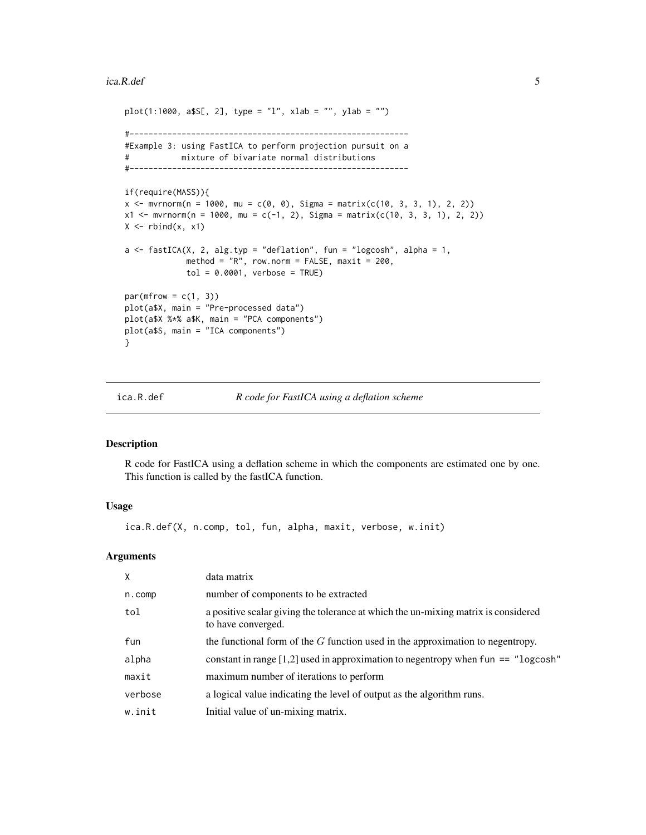#### <span id="page-4-0"></span>ica.R.def 5

```
plot(1:1000, a$S[, 2], type = "l", xlab = "", ylab = "")#-----------------------------------------------------------
#Example 3: using FastICA to perform projection pursuit on a
# mixture of bivariate normal distributions
#-----------------------------------------------------------
if(require(MASS)){
x <- mvrnorm(n = 1000, mu = c(0, 0), Sigma = matrix(c(10, 3, 3, 1), 2, 2))
x1 \le m wrnorm(n = 1000, mu = c(-1, 2), Sigma = matrix(c(10, 3, 3, 1), 2, 2))
X \leftarrow \text{rbind}(x, x1)a \leftarrow fastICA(X, 2, alg.typ = "deflation", fun = "logcosh", alpha = 1,
             method = "R", row.norm = FALSE, maxit = 200,
             tol = 0.0001, verbose = TRUE)
par(mfrow = c(1, 3))plot(a$X, main = "Pre-processed data")
plot(a$X %*% a$K, main = "PCA components")
plot(a$S, main = "ICA components")
}
```
#### ica.R.def *R code for FastICA using a deflation scheme*

#### Description

R code for FastICA using a deflation scheme in which the components are estimated one by one. This function is called by the fastICA function.

#### Usage

ica.R.def(X, n.comp, tol, fun, alpha, maxit, verbose, w.init)

#### Arguments

| $\mathsf{X}$ | data matrix                                                                                              |
|--------------|----------------------------------------------------------------------------------------------------------|
| n.comp       | number of components to be extracted                                                                     |
| tol          | a positive scalar giving the tolerance at which the un-mixing matrix is considered<br>to have converged. |
| fun          | the functional form of the $G$ function used in the approximation to negentropy.                         |
| alpha        | constant in range [1,2] used in approximation to negentropy when fun $ == "logcosh"$                     |
| maxit        | maximum number of iterations to perform                                                                  |
| verbose      | a logical value indicating the level of output as the algorithm runs.                                    |
| w.init       | Initial value of un-mixing matrix.                                                                       |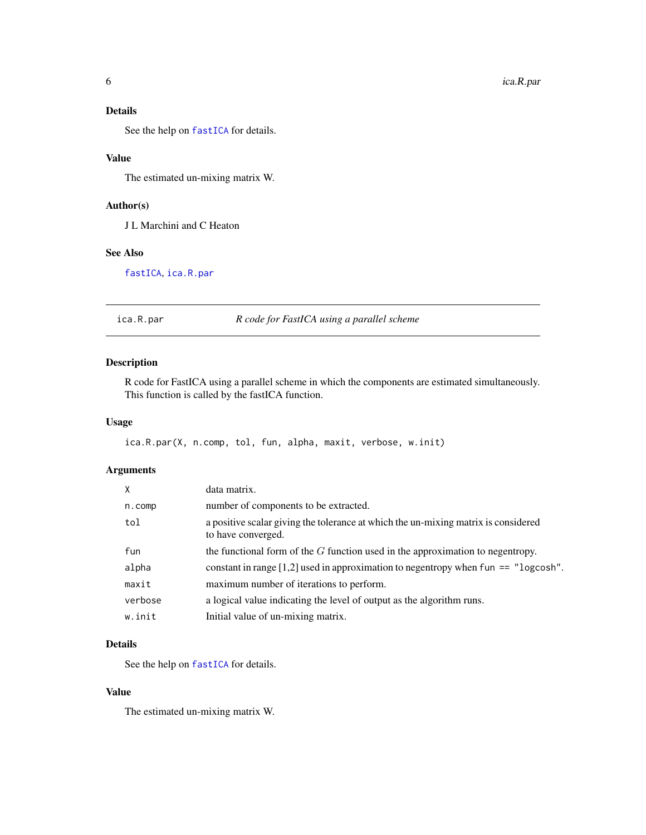#### <span id="page-5-0"></span>Details

See the help on [fastICA](#page-1-1) for details.

#### Value

The estimated un-mixing matrix W.

#### Author(s)

J L Marchini and C Heaton

#### See Also

[fastICA](#page-1-1), [ica.R.par](#page-5-1)

#### <span id="page-5-1"></span>ica.R.par *R code for FastICA using a parallel scheme*

#### Description

R code for FastICA using a parallel scheme in which the components are estimated simultaneously. This function is called by the fastICA function.

#### Usage

```
ica.R.par(X, n.comp, tol, fun, alpha, maxit, verbose, w.init)
```
#### Arguments

| $\mathsf{X}$ | data matrix.                                                                                             |
|--------------|----------------------------------------------------------------------------------------------------------|
| n.comp       | number of components to be extracted.                                                                    |
| tol          | a positive scalar giving the tolerance at which the un-mixing matrix is considered<br>to have converged. |
| fun          | the functional form of the $G$ function used in the approximation to negentropy.                         |
| alpha        | constant in range $[1,2]$ used in approximation to negentropy when fun == "logcosh".                     |
| maxit        | maximum number of iterations to perform.                                                                 |
| verbose      | a logical value indicating the level of output as the algorithm runs.                                    |
| w.init       | Initial value of un-mixing matrix.                                                                       |

#### Details

See the help on [fastICA](#page-1-1) for details.

#### Value

The estimated un-mixing matrix W.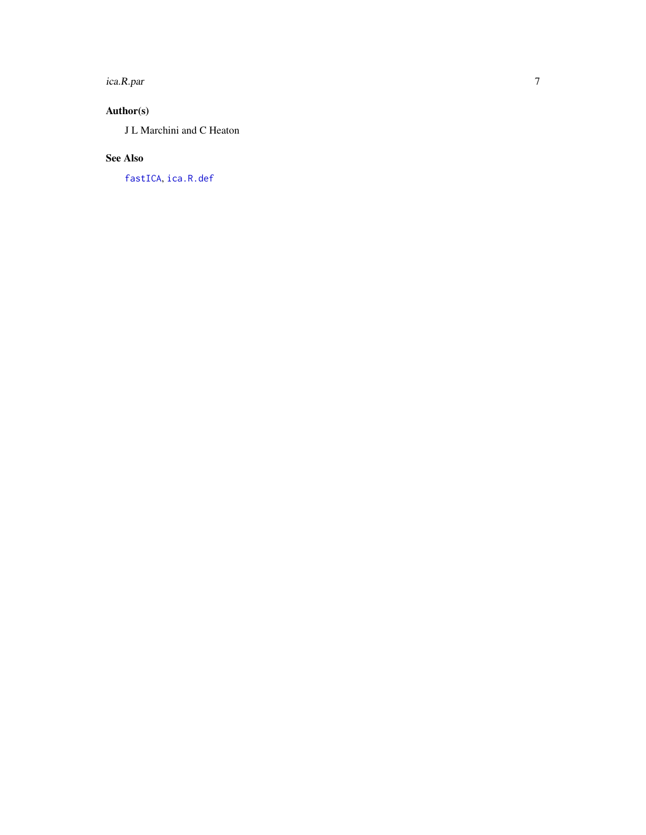<span id="page-6-0"></span>ica.R.par

#### Author(s)

J L Marchini and C Heaton

#### See Also

[fastICA](#page-1-1) , [ica.R.def](#page-4-1)